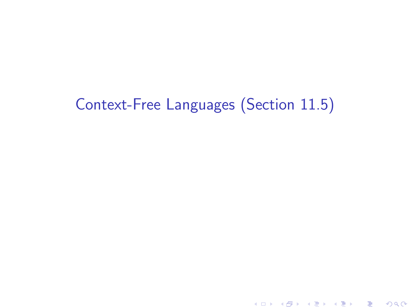# Context-Free Languages (Section 11.5)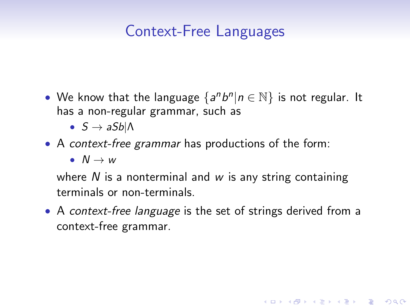## Context-Free Languages

- We know that the language  $\{a^n b^n | n \in \mathbb{N}\}$  is not regular. It has a non-regular grammar, such as
	- $S \rightarrow aSb\Lambda$
- A context-free grammar has productions of the form:

•  $N \rightarrow w$ 

where  $N$  is a nonterminal and  $w$  is any string containing terminals or non-terminals.

• A context-free language is the set of strings derived from a context-free grammar.

**KORK EXTERICATES**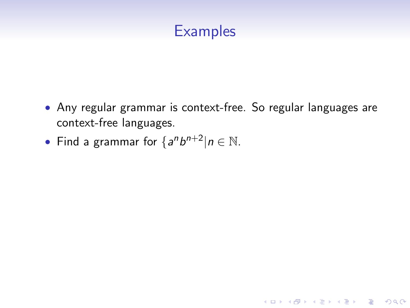

• Any regular grammar is context-free. So regular languages are context-free languages.

K ロ ▶ K @ ▶ K 할 > K 할 > 1 할 > 1 이익어

• Find a grammar for  $\{a^n b^{n+2} | n \in \mathbb{N} \}$ .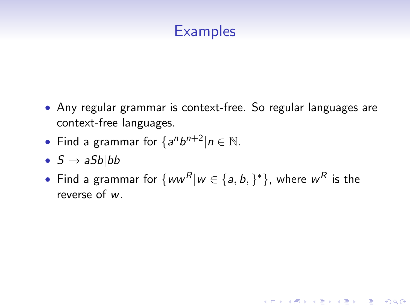### **Examples**

- Any regular grammar is context-free. So regular languages are context-free languages.
- Find a grammar for  $\{a^n b^{n+2} | n \in \mathbb{N} \}$ .
- $S \rightarrow aSb|bb$
- Find a grammar for  $\{ww^R|w\in\{a,b,\}^*\}$ , where  $w^R$  is the reverse of w.

**KORK EXTERICATES**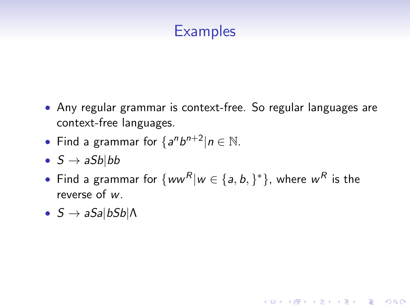### **Examples**

- Any regular grammar is context-free. So regular languages are context-free languages.
- Find a grammar for  $\{a^n b^{n+2} | n \in \mathbb{N} \}$ .
- $S \rightarrow aSb|bb$
- Find a grammar for  $\{ww^R|w\in\{a,b,\}^*\}$ , where  $w^R$  is the reverse of w.

**KORK EXTERICATES** 

•  $S \rightarrow aSa|bSb|$ Λ